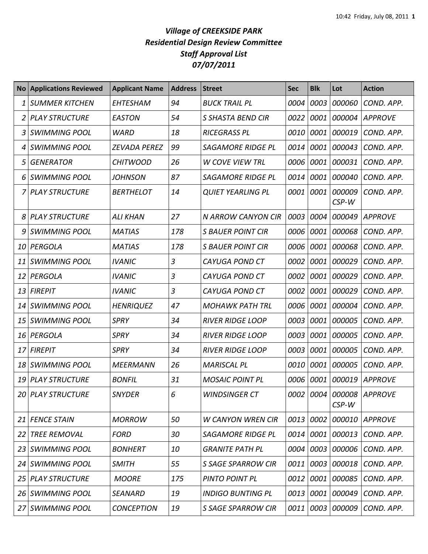## *Village of CREEKSIDE PARK Residential Design Review Committee Staff Approval List 07/07/2011*

| <b>No</b> | <b>Applications Reviewed</b> | <b>Applicant Name</b> | <b>Address</b> | <b>Street</b>             | <b>Sec</b> | <b>Blk</b> | Lot             | <b>Action</b>  |
|-----------|------------------------------|-----------------------|----------------|---------------------------|------------|------------|-----------------|----------------|
| 1         | <b>SUMMER KITCHEN</b>        | <b>EHTESHAM</b>       | 94             | <b>BUCK TRAIL PL</b>      | 0004       | 0003       | 000060          | COND. APP.     |
|           | <b>PLAY STRUCTURE</b>        | <b>EASTON</b>         | 54             | <b>S SHASTA BEND CIR</b>  | 0022       | 0001       | 000004          | <b>APPROVE</b> |
| 3         | <b>SWIMMING POOL</b>         | <b>WARD</b>           | 18             | <b>RICEGRASS PL</b>       | 0010       | 0001       | 000019          | COND. APP.     |
| 4         | <b>SWIMMING POOL</b>         | <b>ZEVADA PEREZ</b>   | 99             | <b>SAGAMORE RIDGE PL</b>  | 0014       | 0001       | 000043          | COND. APP.     |
| 5         | <b>GENERATOR</b>             | <b>CHITWOOD</b>       | 26             | <b>W COVE VIEW TRL</b>    | 0006       | 0001       | 000031          | COND. APP.     |
| 6         | <b>SWIMMING POOL</b>         | <i>JOHNSON</i>        | 87             | <b>SAGAMORE RIDGE PL</b>  | 0014       | 0001       | 000040          | COND. APP.     |
|           | <b>PLAY STRUCTURE</b>        | <b>BERTHELOT</b>      | 14             | <b>QUIET YEARLING PL</b>  | 0001       | 0001       | 000009<br>CSP-W | COND. APP.     |
| 8         | <b>PLAY STRUCTURE</b>        | <b>ALI KHAN</b>       | 27             | <b>N ARROW CANYON CIR</b> | 0003       | 0004       | 000049          | <b>APPROVE</b> |
| 9         | <b>SWIMMING POOL</b>         | <b>MATIAS</b>         | 178            | <b>S BAUER POINT CIR</b>  | 0006       | 0001       | 000068          | COND. APP.     |
| 10        | PERGOLA                      | <b>MATIAS</b>         | 178            | <b>S BAUER POINT CIR</b>  | 0006       | 0001       | 000068          | COND. APP.     |
| 11        | <b>SWIMMING POOL</b>         | <b>IVANIC</b>         | 3              | <b>CAYUGA POND CT</b>     | 0002       | 0001       | 000029          | COND. APP.     |
| 12        | PERGOLA                      | <b>IVANIC</b>         | 3              | <b>CAYUGA POND CT</b>     | 0002       | 0001       | 000029          | COND. APP.     |
| 13        | <b>FIREPIT</b>               | <b>IVANIC</b>         | 3              | <b>CAYUGA POND CT</b>     | 0002       | 0001       | 000029          | COND. APP.     |
| 14        | <b>SWIMMING POOL</b>         | <b>HENRIQUEZ</b>      | 47             | <b>MOHAWK PATH TRL</b>    | 0006       | 0001       | 000004          | COND. APP.     |
| 15        | <b>SWIMMING POOL</b>         | <b>SPRY</b>           | 34             | <b>RIVER RIDGE LOOP</b>   | 0003       | 0001       | 000005          | COND. APP.     |
| 16        | PERGOLA                      | <b>SPRY</b>           | 34             | <b>RIVER RIDGE LOOP</b>   | 0003       | 0001       | 000005          | COND. APP.     |
| 17        | <b>FIREPIT</b>               | <b>SPRY</b>           | 34             | <b>RIVER RIDGE LOOP</b>   | 0003       | 0001       | 000005          | COND. APP.     |
| 18        | <b>SWIMMING POOL</b>         | <b>MEERMANN</b>       | 26             | <b>MARISCAL PL</b>        | 0010       | 0001       | 000005          | COND. APP.     |
| 19        | <b>PLAY STRUCTURE</b>        | <b>BONFIL</b>         | 31             | <b>MOSAIC POINT PL</b>    | 0006       | 0001       | 000019          | <b>APPROVE</b> |
|           | 20 PLAY STRUCTURE            | <b>SNYDER</b>         | 6              | <b>WINDSINGER CT</b>      | 0002       | 0004       | 000008<br>CSP-W | APPROVE        |
| 21        | <b>FENCE STAIN</b>           | <b>MORROW</b>         | 50             | <b>W CANYON WREN CIR</b>  | 0013       | 0002       | 000010          | <b>APPROVE</b> |
| 22        | <b>TREE REMOVAL</b>          | <b>FORD</b>           | 30             | <b>SAGAMORE RIDGE PL</b>  |            | 0014 0001  | 000013          | COND. APP.     |
| 23        | <b>SWIMMING POOL</b>         | <b>BONHERT</b>        | 10             | <b>GRANITE PATH PL</b>    |            | 0004 0003  | 000006          | COND. APP.     |
| 24        | <b>SWIMMING POOL</b>         | <b>SMITH</b>          | 55             | <b>S SAGE SPARROW CIR</b> |            | 0011 0003  | 000018          | COND. APP.     |
| 25        | <b>PLAY STRUCTURE</b>        | <b>MOORE</b>          | 175            | PINTO POINT PL            | 0012       | 0001       | 000085          | COND. APP.     |
| 26        | <b>SWIMMING POOL</b>         | <b>SEANARD</b>        | 19             | <b>INDIGO BUNTING PL</b>  | 0013       | 0001       | 000049          | COND. APP.     |
| 27        | <b>SWIMMING POOL</b>         | <b>CONCEPTION</b>     | 19             | <b>S SAGE SPARROW CIR</b> |            | 0011 0003  | 000009          | COND. APP.     |